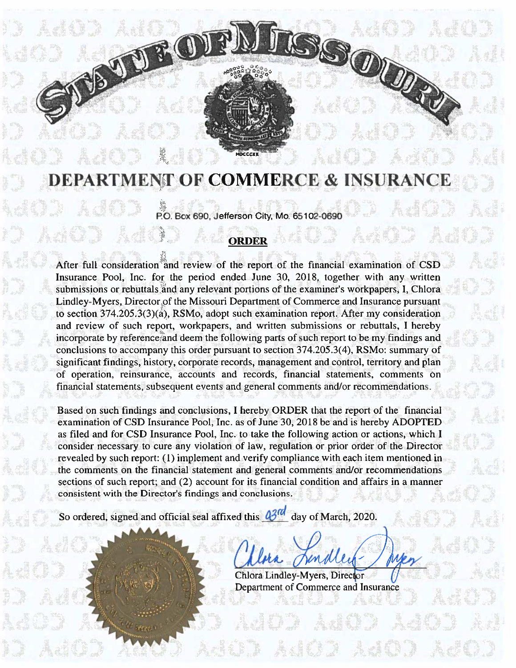# DEPARTMENT OF COMMERCE & INSURAN

 $\mathbb{Q}$ 

Ŋ

P0. Box 690, Jefferson City, Mo. <sup>651</sup> 02-0690

# ORDER

After full consideration and review of the report of the financial examination of CSD Insurance Pool. Inc. for the period ended June 30, 2018, together with any written submissions or rebuttals and any relevant portions of the examiner's workpapers, I, Chlora Lindley-Myers, Director of the Missouri Department of Commerce and Insurance pursuan<sup>t</sup> to section 374.205.3(3)(a), RSMo, adopt such examination report. After my consideration and review of such report, workpapers, and written submissions or rebuttals, I hereby incorporate by reference and deem the following parts of such repor<sup>t</sup> to be my findings and conclusions to accompany this order pursuan<sup>t</sup> to section 374.205.3(4), RSMo: summary of significant findings, history, corporate records, managemen<sup>t</sup> and control, territory and plan of operation, reinsurance. accounts and records., financial statements, comments on financial statements, subsequent events and genera! comments and/or recommendations. **So Figure 1991 (FIGURE 1991)**<br> **EPARTMENT OF COMMERCE & INS**<br> **EPARTMENT OF COMMERCE & INS**<br> **EPARTMENT OF COMMERCE & INS**<br> **ERECT TO THE CONSIDER CONSIDER AND CONSIDER**<br>
Analysis or rebuted and a review of the report of

Based on such findings and conclusions. I hereby ORDER that the repor<sup>t</sup> of the financial examination of CSD Insurance Pool. Inc. as of June 30, 2018 be and is hereby ADOPTED as filed and for CSD Insurance Pool, Inc. to take the following action or actions., which I consider necessary to cure any violation of law, regulation or prior order of the Director revealed by such report: (1) implement and verify compliance with each item mentioned in the comments on the financial statement and general comments and/or recommendations sections of such report; and (2) account for its financial condition and affairs in <sup>a</sup> manner consistent with the Director's findings and conclusions.

Chlora Lindley-Myers, Director

Department of Commerce and Insurance

r I

m

TV

I I 4 4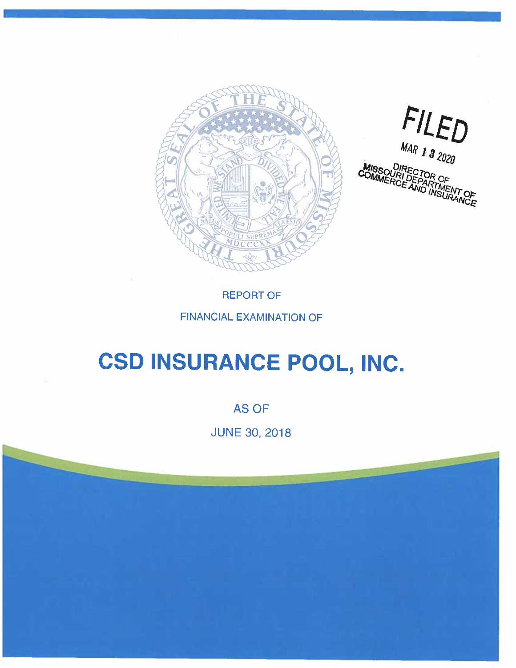



REPORT OF

### FINANCIAL EXAMINATION OF

# CSD INSURANCE POOL, INC.

**AS OF** 

JUNE 30, 2018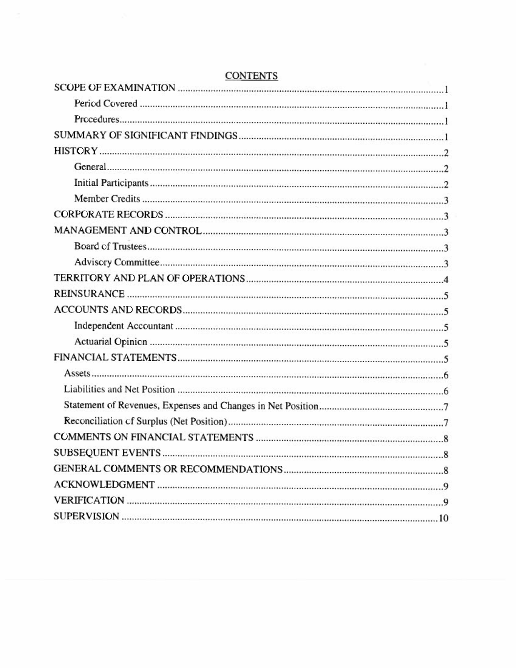| <b>CONTENTS</b> |
|-----------------|
|                 |
|                 |
|                 |
|                 |
|                 |
|                 |
|                 |
|                 |
|                 |
|                 |
|                 |
|                 |
|                 |
|                 |
|                 |
|                 |
|                 |
|                 |
|                 |
|                 |
|                 |
|                 |
|                 |
|                 |
|                 |
|                 |
|                 |
|                 |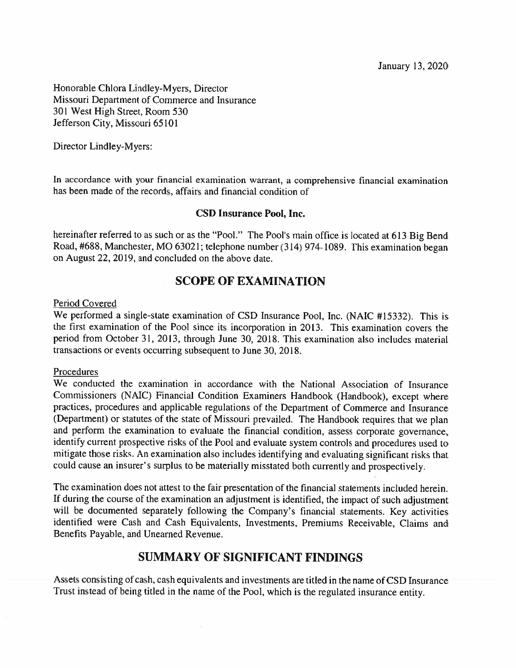January 13, 2020

Honorable Chiora Lindley-Myers. Director Missouri Department of Commerce and Insurance 301 West High Street, Room 530 Jefferson City, Missouri 65101

Director Lindley-Myers:

In accordance with your financial examination warrant, <sup>a</sup> comprehensive financial examination has been made of the records, affairs and financial condition of

#### CSD Insurance Pool, Inc.

hereinafter referred to as such or as the "Pool." The Pool's main office is located at 613 Big Bend Road, #688, Manchester. MO 63021; telephone number (314) 974-1089. This examination began on August 22, 2019, and concluded on the above date.

#### SCOPE OF EXAMINATION

#### Period Covered

We performed <sup>a</sup> single-state examination of CSD Insurance Pool, Inc. (NAIC #15332). This is the first examination of the Pool since its incorporation in 2013. This examination covers the period from October 31, 2013, through June 30, 2018. This examination also includes material transactions or events occurring subsequent to June 30, 2018.

#### Procedures

We conducted the examination in accordance with the National Association of Insurance Commissioners (NAIC) Financial Condition Examiners Handbook (Handbook), excep<sup>t</sup> where practices, procedures and applicable regulations of the Department of Commerce and Insurance (Department) or statutes of the state of Missouri prevailed. The Handbook requires that we plan and perform the examination to evaluate the financial condition, assess corporate governance, identify current prospective risks of the Pool and evaluate system controls and procedures used to mitigate those risks. An examination also includes identifying and evaluating significant risks that could cause an insurer's surplus to be materially misstated both currently and prospectively.

The examination does not attest to the fair presentation of the financial statements included herein. If during the course of the examination an adjustment is identified, the impact of such adjustment will be documented separately following the Company's financial statements. Key activities identified were Cash and Cash Equivalents, Investments, Premiums Receivable, Claims and Benefits Payable. and Unearned Revenue.

#### SUMMARY OF SIGNIFICANT FINDINGS

Assets consisting of cash, cash equivalents and investments are titled in the name of CSD Insurance Trust instead of being titled in the name of the Pool, which is the regulated insurance entity.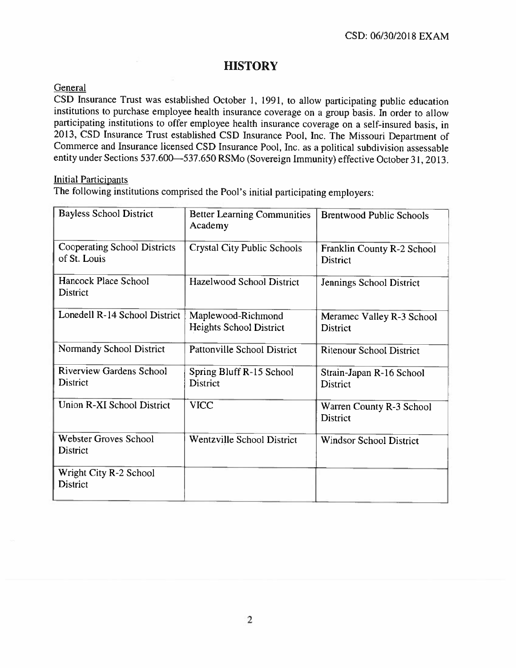# **HISTORY**

#### **General**

CSD Insurance Trust was established October 1, 1991, to allow participating public education institutions to purchase employee health insurance coverage on <sup>a</sup> group basis. In order to allow participating institutions to offer employee health insurance coverage on <sup>a</sup> self-insured basis, in 2013, CSD Insurance Trust established CSD Insurance Pool, Inc. The Missouri Department of Commerce and Insurance licensed CSD Insurance Pool. Inc. as <sup>a</sup> political subdivision assessable entity under Sections 537.600—537.650 RSMo (Sovereign Immunity) effective October31, 2013.

#### Initial Participants

The following institutions comprised the Pool's initial parlicipating employers:

| <b>Bayless School District</b>                     | <b>Better Learning Communities</b><br>Academy | <b>Brentwood Public Schools</b>               |  |
|----------------------------------------------------|-----------------------------------------------|-----------------------------------------------|--|
| Cooperating School Districts<br>of St. Louis       | <b>Crystal City Public Schools</b>            | Franklin County R-2 School<br><b>District</b> |  |
| Hancock Place School<br><b>District</b>            | Hazelwood School District                     | Jennings School District                      |  |
| Lonedell R-14 School District                      | Maplewood-Richmond<br>Heights School District | Meramec Valley R-3 School<br>District         |  |
| Normandy School District                           | Pattonville School District                   | <b>Ritenour School District</b>               |  |
| <b>Riverview Gardens School</b><br><b>District</b> | Spring Bluff R-15 School<br><b>District</b>   | Strain-Japan R-16 School<br><b>District</b>   |  |
| Union R-XI School District                         | <b>VICC</b>                                   | Warren County R-3 School<br><b>District</b>   |  |
| <b>Webster Groves School</b><br><b>District</b>    | Wentzville School District                    | <b>Windsor School District</b>                |  |
| Wright City R-2 School<br><b>District</b>          |                                               |                                               |  |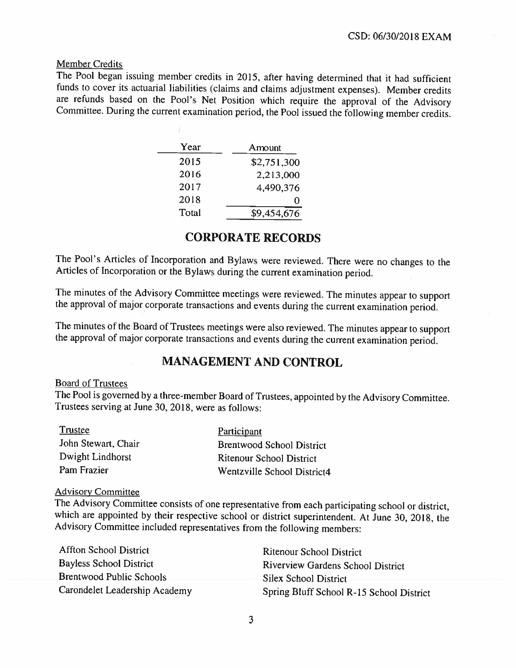#### Member Credits

The Pool began issuing member credits in 2015, after having determined that it had sufficient funds to cover its actuarial liabilities (claims and claims adjustment expenses). Member credits are refunds based on the Pool's Net Position which require the approval of the Advisory Committee. During the current examination period, the Pool issued the following member credits.

| Year  | Amount      |
|-------|-------------|
| 2015  | \$2,751,300 |
| 2016  | 2,213,000   |
| 2017  | 4,490,376   |
| 2018  | $\bullet$   |
| Total | \$9,454,676 |

#### CORPORATE RECORDS

The Pool's Articles of Incorporation and Bylaws were reviewed. There were no changes to the Articles of Incorporation or the Bylaws during the current examination period.

The minutes of the Advisory Committee meetings were reviewed, The minutes appear to support the approval of major corporate transactions and events during the current examination period.

The minutes of the Board of Trustees meetings were also reviewed. The minutes appear to support the approval of major corporate transactions and events during the current examination period.

#### MANAGEMENT AND CONTROL

#### Board of Trustees

The Pool is governed by <sup>a</sup> three-member Board of Trustees, appointed by the Advisory Committee. Trustees serving at June 30, 2018, were as follows:

| Trustee             | Participant                      |
|---------------------|----------------------------------|
| John Stewart, Chair | <b>Brentwood School District</b> |
| Dwight Lindhorst    | <b>Ritenour School District</b>  |
| Pam Frazier         | Wentzville School District4      |

#### **Advisory Committee**

The Advisory Committee consists of one representative from each participating school or district, which are appointed by their respective school or district superintendent. At June 30, 2018, the Advisory Committee included representatives from the following members:

| <b>Affton School District</b>  | Ritenour School District                 |
|--------------------------------|------------------------------------------|
| <b>Bayless School District</b> | Riverview Gardens School District        |
| Brentwood Public Schools       | Silex School District                    |
| Carondelet Leadership Academy  | Spring Bluff School R-15 School District |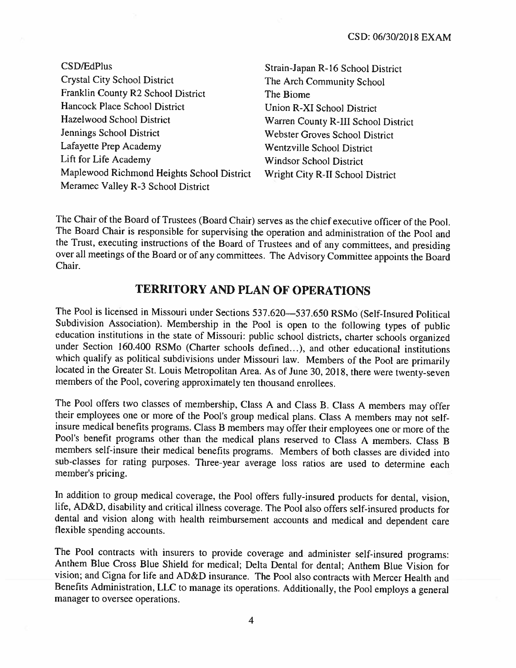| CSD/EdPlus                                 | Strain-Japan R-16 School District   |
|--------------------------------------------|-------------------------------------|
| <b>Crystal City School District</b>        | The Arch Community School           |
| Franklin County R2 School District         | The Biome                           |
| Hancock Place School District              | Union R-XI School District          |
| Hazelwood School District                  | Warren County R-III School District |
| Jennings School District                   | Webster Groves School District      |
| Lafayette Prep Academy                     | Wentzville School District          |
| Lift for Life Academy                      | <b>Windsor School District</b>      |
| Maplewood Richmond Heights School District | Wright City R-II School District    |
| Meramec Valley R-3 School District         |                                     |

The Chair of the Board of Trustees (Board Chair) serves as the chief executive officer of the Pool. The Board Chair is responsible for supervising the operation and administration of the Pool and the Trust, executing instructions of the Board of Trustees and of any committees, and presiding over all meetings of the Board or of any committees. The Advisory Committee appoints the Board Chair.

# TERRITORY AND PLAN OF OPERATIONS

The Pool is licensed in Missouri under Sections 537.620—537.650 RSMo (Self-Insured Political Subdivision Association). Membership in the Pool is open to the following types of public education institutions in the state of Missouri: public school districts, charter schools organized under Section 160.400 RSMo (Charter schools defined...), and other educational institutions which qualify as political subdivisions under Missouri law. Members of the Pool are primarily located in the Greater St. Louis Metropolitan Area. As of June 30, 2018, there were twenty-seven members of the Pool, covering approximately ten thousand enrollees.

The Pool offers two classes of membership, Class A and Class B. Class A members may offer their employees one or more of the Pool's group medical plans. Class A members may not selfinsure medical benefits programs. Class B members may offer their employees one or more of the Pool's benefit programs other than the medical <sup>p</sup>lans reserved to Class <sup>A</sup> members. Class <sup>B</sup> members self-insure their medical benefits programs. Members of both classes are divided into sub-classes for rating purposes. Three-year average loss ratios are used to determine each member's pricing.

In addition to group medical coverage, the Pool offers fully-insured products for dental, vision, life, AD&D, disability and critical illness coverage. The Pool also offers self-insured products for dental and vision along with health reimbursement accounts and medical and dependent care flexible spending accounts.

The Pool contracts with insurers to provide coverage and administer self-insured programs: Anthem Blue Cross Blue Shield for medical; Delta Dental for dental; Anthem Blue Vision for vision: and Cigna for life and AD&D insurance. The Pool also contracts with Mercer Health and Benefits Administration, LLC to manage its operations. Additionally. the Pool employs <sup>a</sup> general manager to oversee operations.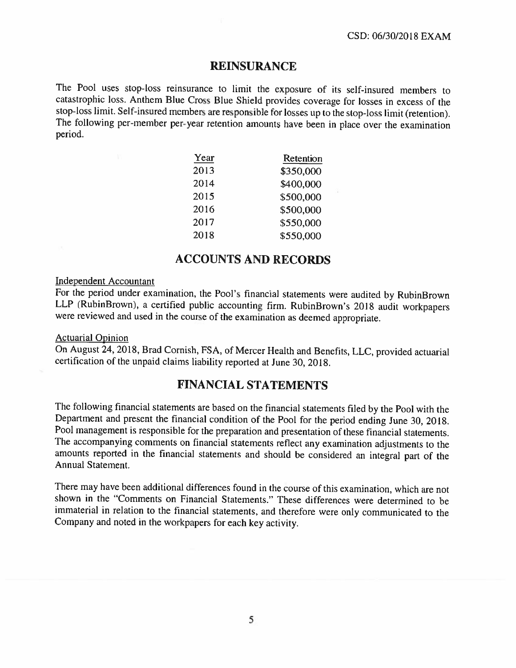#### REINSURANCE

The Pool uses stop-loss reinsurance to limit the exposure of its self-insured members to catastrophic loss. Anthem Blue Cross Blue Shield provides coverage for losses in excess of the stop-loss limit. Self-insured members are responsible for losses up to the stop-loss limit(retention). The following per-member per-year retention amounts have been in place over the examination period.

| Year | Retention |
|------|-----------|
| 2013 | \$350,000 |
| 2014 | \$400,000 |
| 2015 | \$500,000 |
| 2016 | \$500,000 |
| 2017 | \$550,000 |
| 2018 | \$550,000 |

#### ACCOUNTS AND RECORIS

#### Independent Accountant

For the period under examination, the Pool's financial statements were audited by RuhinBrown LLP (RubinBrown), <sup>a</sup> certified public accounting firm. RubinBrown's <sup>2018</sup> audit workpapers were reviewed and used in the course of the examination as deemed appropriate.

#### Actuarial Opinion

On August 24, 2018, Brad Cornish, FSA, of Mercer Health and Benefits, LLC, provided actuarial certification of the unpaid claims liability reported at June 30, 2018.

#### FINANCIAL STATEMENTS

The following financial statements are based on the financial statements filed by the Pool with the Department and present the financial condition of the Pool for the period ending June 30, 2018. Pool management is responsible for the preparation and presentation of these financial statements. The accompanying comments on financial statements reflect any examination adjustments to the amounts reported in the financial statements and should be considered an integral part of the Annual Statement.

There may have been additional differences found in the course of this examination, which are not shown in the "Comments on Financial Statements." These differences were determined to be immaterial in relation to the financial statements, and therefore were only communicated to the Company and noted in the workpapers for each key activity.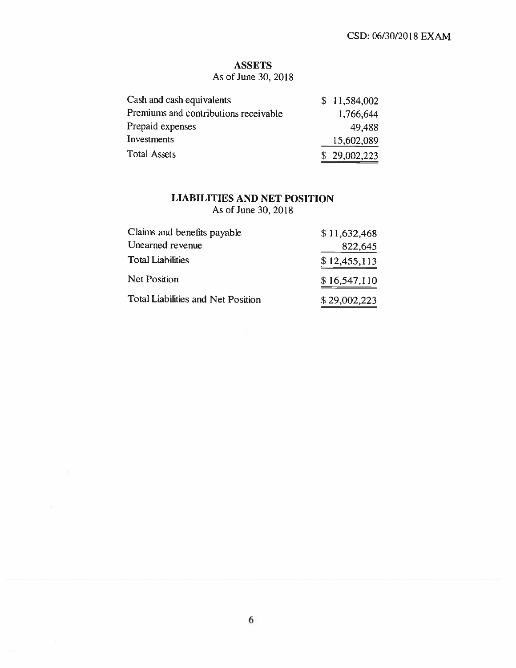#### ASSETS

As of June 30, 2018

| Cash and cash equivalents             | \$11,584,002 |
|---------------------------------------|--------------|
| Premiums and contributions receivable | 1,766,644    |
| Prepaid expenses                      | 49.488       |
| Investments                           | 15,602,089   |
| <b>Total Assets</b>                   | \$29,002,223 |

# LIABILITIES AND NET POSITION

As of June 30. 2018

| Claims and benefits payable               | \$11,632,468 |
|-------------------------------------------|--------------|
| Unearned revenue                          | 822,645      |
| <b>Total Liabilities</b>                  | \$12,455,113 |
| <b>Net Position</b>                       | \$16,547,110 |
| <b>Total Liabilities and Net Position</b> | \$29,002,223 |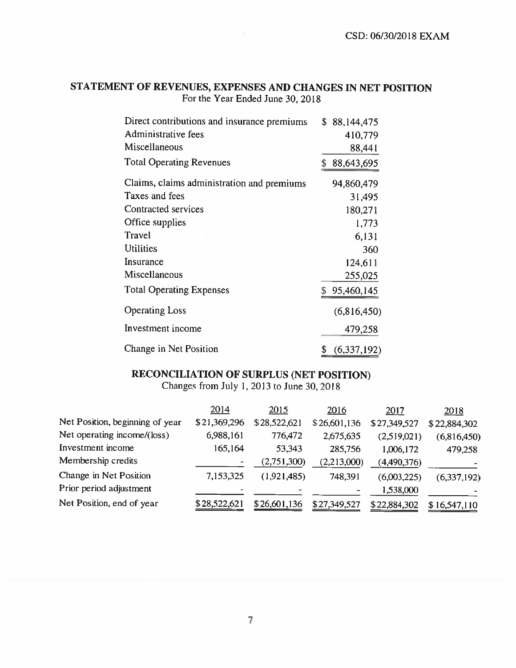#### STATEMENT OF REVENUES, EXPENSES AND CHANGES IN NET POSITION For the Year Ended June 30, 2018

| Direct contributions and insurance premiums | \$88,144,475      |
|---------------------------------------------|-------------------|
| Administrative fees                         | 410,779           |
| Miscellaneous                               | 88,441            |
| <b>Total Operating Revenues</b>             | 88,643,695        |
| Claims, claims administration and premiums  | 94,860,479        |
| Taxes and fees                              | 31,495            |
| Contracted services                         | 180,271           |
| Office supplies                             | 1,773             |
| Travel                                      | 6,131             |
| <b>Utilities</b>                            | 360               |
| Insurance                                   | 124,611           |
| Miscellaneous                               | 255,025           |
| <b>Total Operating Expenses</b>             | \$95,460,145      |
| <b>Operating Loss</b>                       | (6,816,450)       |
| Investment income                           | 479,258           |
| Change in Net Position                      | (6,337,192)<br>\$ |

# RECONCILIATION OF SURPLUS (NET POSITION)

Changes from July 1,2013 to June 30. <sup>2018</sup>

|                                 | 2014           | 2015         | 2016         | <u>2017</u>  | 2018         |
|---------------------------------|----------------|--------------|--------------|--------------|--------------|
| Net Position, beginning of year | \$21,369,296   | \$28,522,621 | \$26,601,136 | \$27,349,527 | \$22,884,302 |
| Net operating income/(loss)     | 6,988,161      | 776,472      | 2,675,635    | (2,519,021)  | (6,816,450)  |
| Investment income               | 165,164        | 53,343       | 285,756      | 1,006,172    | 479,258      |
| Membership credits              |                | (2,751,300)  | (2,213,000)  | (4,490,376)  |              |
| Change in Net Position          | 7,153,325      | (1,921,485)  | 748,391      | (6,003,225)  | (6,337,192)  |
| Prior period adjustment         | $\blacksquare$ |              |              | 1,538,000    |              |
| Net Position, end of year       | \$28,522,621   | \$26,601,136 | \$27,349,527 | \$22,884,302 | \$16,547,110 |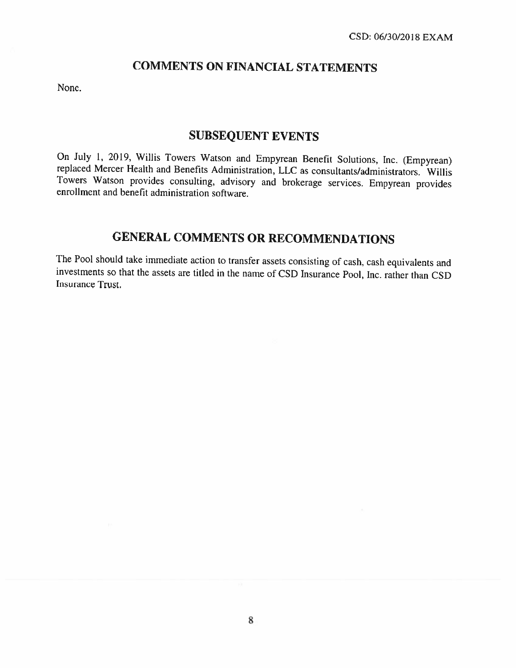# COMMENTS ON FINANCIAL STATEMENTS

None.

#### SUBSEQUENT EVENTS

On July 1, 2019, Willis Towers Watson and Empyrean Benefit Solutions, Inc. (Empyrean) replaced Mercer Health and Benefits Administration, LLC as consultants/administrators. Willis Towers Watson provides consulting, advisory and brokerage services. Empyrean provides enrollment and benefit administration software.

# GENERAL COMMENTS OR RECOMMENDATIONS

The Pool should take immediate action to transfer assets consisting of cash, cash equivalents and investments so that the assets are titled in the name of CSD Insurance Pool, Inc. rather than CSD Insurance Trust.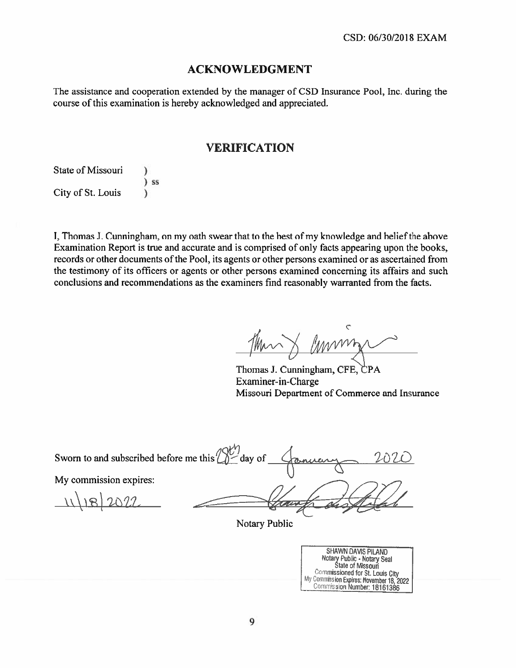#### ACKNOWLEDGMENT

The assistance and cooperation extended by the manager of CSD Insurance Pool, Inc. during the course of this examination is hereby acknowledged and appreciated.

#### VERIFICATION

State of Missouri ) ss ) City of St. Louis )

I, Thomas J. Cunningham, on my oath swear that to the best of my knowledge and belief the above Examination Report is true and accurate and is comprised of only facts appearing upon the books, records or other documents of the Pool, its agents or other persons examined or as ascertained from the testimony of its officers or agents or other persons examined concerning its affairs and such conclusions and recommendations as the examiners find reasonably warranted from the facts.

mmm

Thomas J. Cunningham, CFE, CPA Examiner-in-Charge Missouri Department of Commerce and Insurance

Sworn to and subscribed before me this  $\bigotimes^{\text{IV}'}$  day of My commission expires:  $\ln 2022$ 

Notary Public